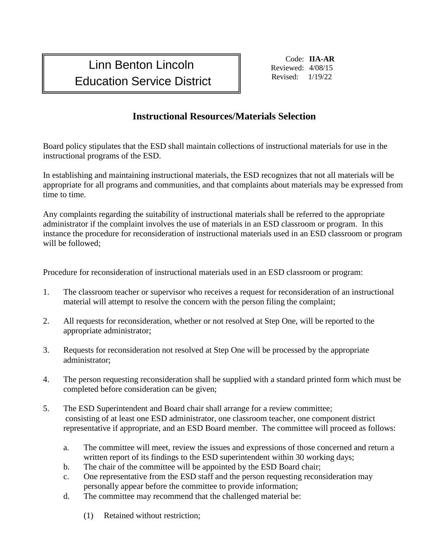## Linn Benton Lincoln **Education Service District Revised:** 1/19/22

Code: **IIA-AR** Reviewed: 4/08/15

## **Instructional Resources/Materials Selection**

Board policy stipulates that the ESD shall maintain collections of instructional materials for use in the instructional programs of the ESD.

In establishing and maintaining instructional materials, the ESD recognizes that not all materials will be appropriate for all programs and communities, and that complaints about materials may be expressed from time to time.

Any complaints regarding the suitability of instructional materials shall be referred to the appropriate administrator if the complaint involves the use of materials in an ESD classroom or program. In this instance the procedure for reconsideration of instructional materials used in an ESD classroom or program will be followed;

Procedure for reconsideration of instructional materials used in an ESD classroom or program:

- 1. The classroom teacher or supervisor who receives a request for reconsideration of an instructional material will attempt to resolve the concern with the person filing the complaint;
- 2. All requests for reconsideration, whether or not resolved at Step One, will be reported to the appropriate administrator;
- 3. Requests for reconsideration not resolved at Step One will be processed by the appropriate administrator;
- 4. The person requesting reconsideration shall be supplied with a standard printed form which must be completed before consideration can be given;
- 5. The ESD Superintendent and Board chair shall arrange for a review committee; consisting of at least one ESD administrator, one classroom teacher, one component district representative if appropriate, and an ESD Board member. The committee will proceed as follows:
	- a. The committee will meet, review the issues and expressions of those concerned and return a written report of its findings to the ESD superintendent within 30 working days;
	- b. The chair of the committee will be appointed by the ESD Board chair;
	- c. One representative from the ESD staff and the person requesting reconsideration may personally appear before the committee to provide information;
	- d. The committee may recommend that the challenged material be:
		- (1) Retained without restriction;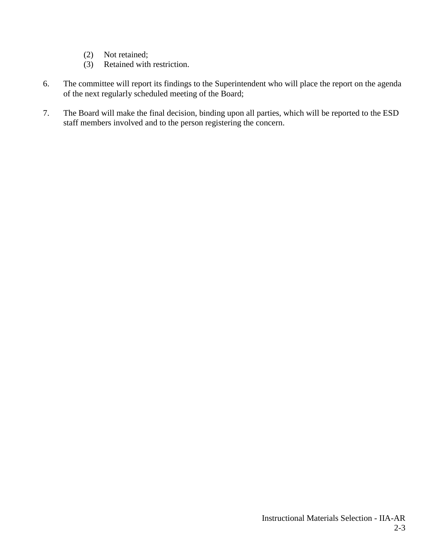- (2) Not retained;
- (3) Retained with restriction.
- 6. The committee will report its findings to the Superintendent who will place the report on the agenda of the next regularly scheduled meeting of the Board;
- 7. The Board will make the final decision, binding upon all parties, which will be reported to the ESD staff members involved and to the person registering the concern.